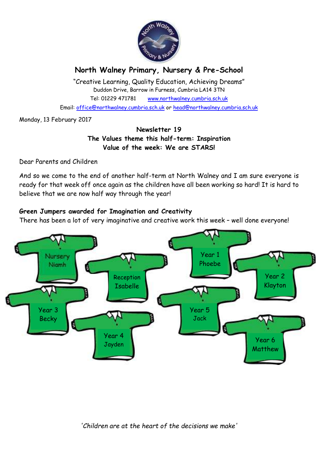

# **North Walney Primary, Nursery & Pre-School**

"Creative Learning, Quality Education, Achieving Dreams" Duddon Drive, Barrow in Furness, Cumbria LA14 3TN Tel: 01229 471781 www.northwalney.cumbria.sch.uk

Email: office@northwalney.cumbria.sch.uk or head@northwalney.cumbria.sch.uk

Monday, 13 February 2017

## **Newsletter 19 The Values theme this half-term: Inspiration Value of the week: We are STARS!**

Dear Parents and Children

And so we come to the end of another half-term at North Walney and I am sure everyone is ready for that week off once again as the children have all been working so hard! It is hard to believe that we are now half way through the year!

## **Green Jumpers awarded for Imagination and Creativity**

There has been a lot of very imaginative and creative work this week – well done everyone!

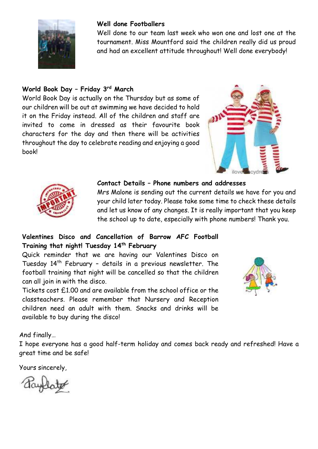

#### **Well done Footballers**

Well done to our team last week who won one and lost one at the tournament. Miss Mountford said the children really did us proud and had an excellent attitude throughout! Well done everybody!

# **World Book Day – Friday 3rd March**

World Book Day is actually on the Thursday but as some of our children will be out at swimming we have decided to hold it on the Friday instead. All of the children and staff are invited to come in dressed as their favourite book characters for the day and then there will be activities throughout the day to celebrate reading and enjoying a good book!





#### **Contact Details – Phone numbers and addresses**

Mrs Malone is sending out the current details we have for you and your child later today. Please take some time to check these details and let us know of any changes. It is really important that you keep the school up to date, especially with phone numbers! Thank you.

## **Valentines Disco and Cancellation of Barrow AFC Football Training that night! Tuesday 14th February**

Quick reminder that we are having our Valentines Disco on Tuesday 14th February – details in a previous newsletter. The football training that night will be cancelled so that the children can all join in with the disco.

Tickets cost £1.00 and are available from the school office or the classteachers. Please remember that Nursery and Reception children need an adult with them. Snacks and drinks will be available to buy during the disco!



And finally…

I hope everyone has a good half-term holiday and comes back ready and refreshed! Have a great time and be safe!

Yours sincerely,